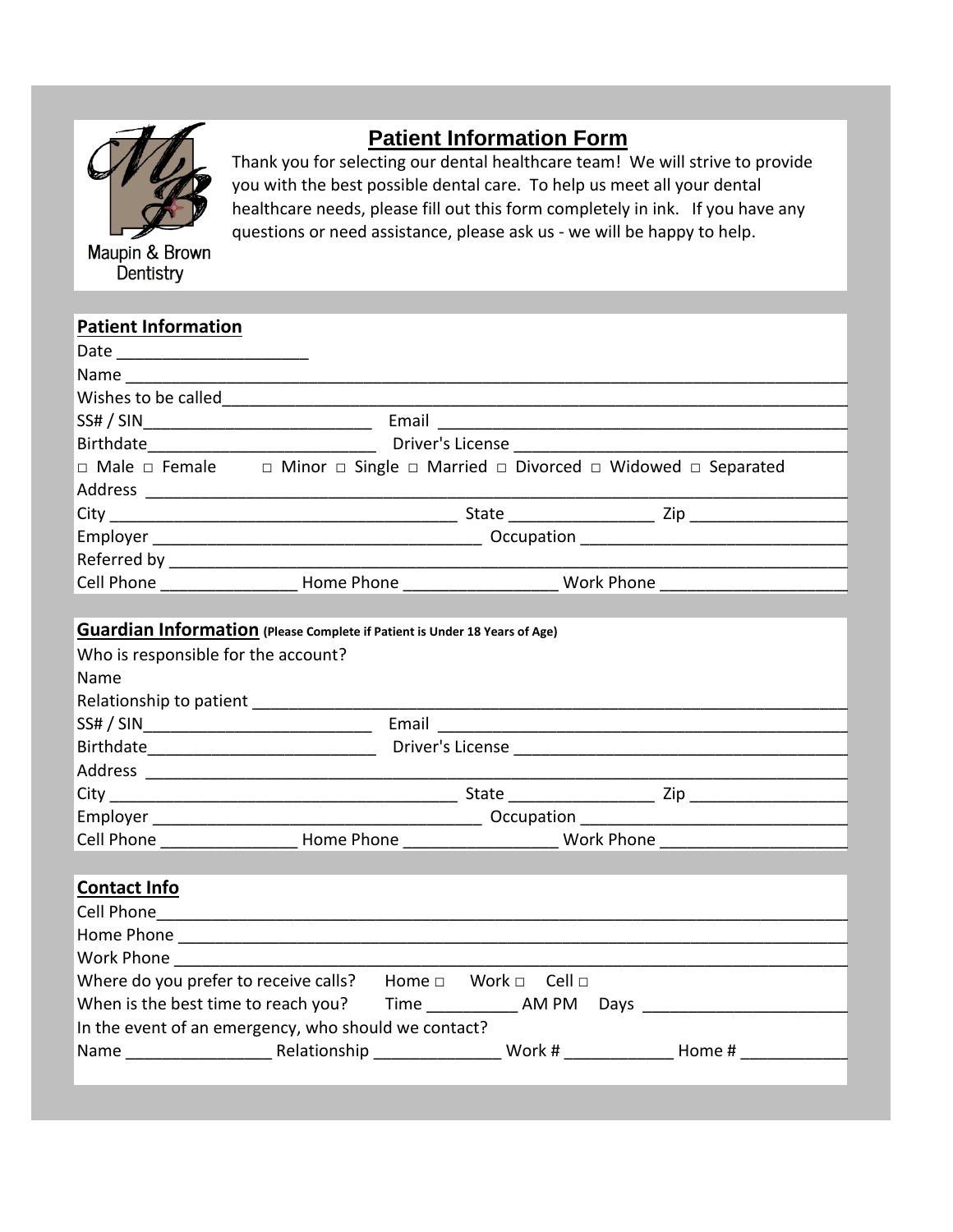

# **Patient Information Form**

Thank you for selecting our dental healthcare team! We will strive to provide you with the best possible dental care. To help us meet all your dental healthcare needs, please fill out this form completely in ink. If you have any questions or need assistance, please ask us - we will be happy to help.

| <b>Patient Information</b>         |                                                                                                                     |                                                                                                                |                        |
|------------------------------------|---------------------------------------------------------------------------------------------------------------------|----------------------------------------------------------------------------------------------------------------|------------------------|
| Date ___ ________________________  |                                                                                                                     |                                                                                                                |                        |
| Name                               |                                                                                                                     |                                                                                                                |                        |
| Wishes to be called                |                                                                                                                     |                                                                                                                |                        |
| SS# / SIN                          | Email                                                                                                               |                                                                                                                |                        |
| Birthdate                          |                                                                                                                     | Driver's License and the control of the control of the control of the control of the control of the control of |                        |
|                                    | $\Box$ Male $\Box$ Female $\Box$ Minor $\Box$ Single $\Box$ Married $\Box$ Divorced $\Box$ Widowed $\Box$ Separated |                                                                                                                |                        |
| Address ___________________        |                                                                                                                     |                                                                                                                |                        |
|                                    |                                                                                                                     |                                                                                                                | State Zip              |
| Employer _________________________ |                                                                                                                     | Occupation                                                                                                     |                        |
| Referred by <b>Referred</b>        |                                                                                                                     |                                                                                                                |                        |
| <b>Cell Phone</b>                  | Home Phone <b>Manufacturer</b>                                                                                      |                                                                                                                | Work Phone <b>Work</b> |
|                                    |                                                                                                                     |                                                                                                                |                        |
|                                    | <b>Guardian Information</b> (Please Complete if Patient is Under 18 Years of Age)                                   |                                                                                                                |                        |
| $M/h = 2.5$                        |                                                                                                                     |                                                                                                                |                        |

| Who is responsible for the account? |            |                  |                                                                                                                |            |  |
|-------------------------------------|------------|------------------|----------------------------------------------------------------------------------------------------------------|------------|--|
| Name                                |            |                  |                                                                                                                |            |  |
| Relationship to patient             |            |                  |                                                                                                                |            |  |
| SS# / SIN                           | Email      |                  |                                                                                                                |            |  |
| Birthdate                           |            | Driver's License |                                                                                                                |            |  |
| Address                             |            |                  |                                                                                                                |            |  |
|                                     |            |                  | State and the state of the state of the state of the state of the state of the state of the state of the state | <b>Zip</b> |  |
| Employer                            | Occupation |                  |                                                                                                                |            |  |
| Cell Phone                          | Home Phone |                  | Work Phone <b>Work</b>                                                                                         |            |  |

|  |  |  |  | <b>Contact Info</b> |
|--|--|--|--|---------------------|
|--|--|--|--|---------------------|

| Cell Phone                                           |                                                                                                                                                                                                                                |          |      |        |  |  |
|------------------------------------------------------|--------------------------------------------------------------------------------------------------------------------------------------------------------------------------------------------------------------------------------|----------|------|--------|--|--|
| Home Phone                                           |                                                                                                                                                                                                                                |          |      |        |  |  |
| <b>Work Phone</b>                                    |                                                                                                                                                                                                                                |          |      |        |  |  |
| Where do you prefer to receive calls?                | Home $\square$                                                                                                                                                                                                                 | – Cell ⊓ |      |        |  |  |
| When is the best time to reach you?                  | Time the control of the control of the control of the control of the control of the control of the control of the control of the control of the control of the control of the control of the control of the control of the con | AM PM    | Days |        |  |  |
| In the event of an emergency, who should we contact? |                                                                                                                                                                                                                                |          |      |        |  |  |
| Relationship<br>Name                                 |                                                                                                                                                                                                                                | Work #   |      | Home # |  |  |